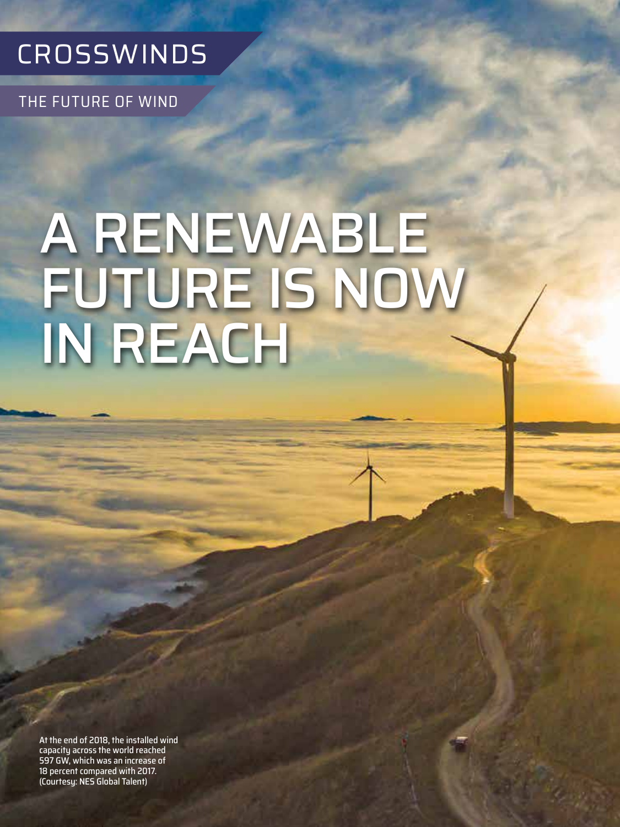

THE FUTURE OF WIND

# A RENEWABLE FUTURE IS NOW IN REACH

At the end of 2018, the installed wind capacity across the world reached 597 GW, which was an increase of 18 percent compared with 2017. (Courtesy: NES Global Talent)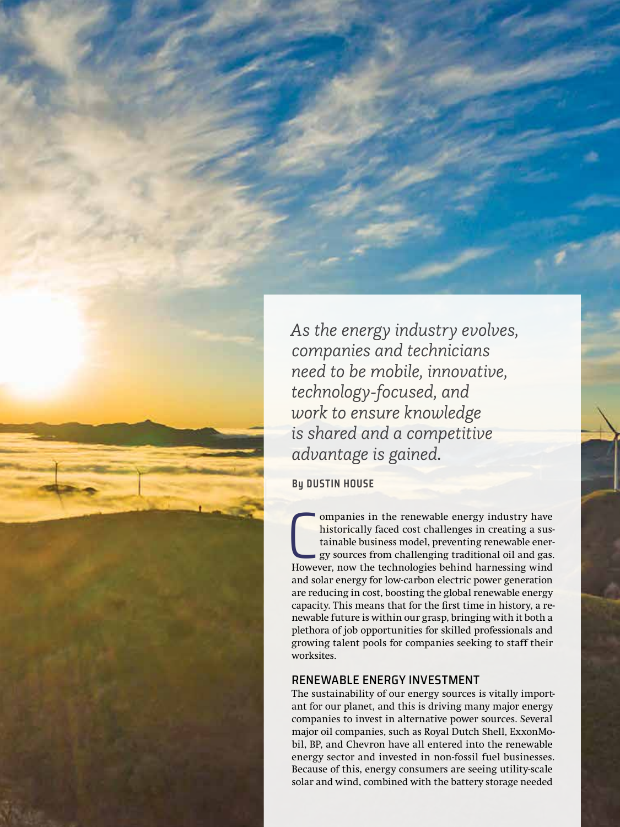*As the energy industry evolves, companies and technicians need to be mobile, innovative, technology-focused, and work to ensure knowledge is shared and a competitive advantage is gained.*

**By DUSTIN HOUSE**

**COMMONG COMMONG CONCRETERTM** ompanies in the renewable energy industry have historically faced cost challenges in creating a sustainable business model, preventing renewable energy sources from challenging traditional oil ompanies in the renewable energy industry have historically faced cost challenges in creating a sustainable business model, preventing renewable energy sources from challenging traditional oil and gas. and solar energy for low-carbon electric power generation are reducing in cost, boosting the global renewable energy capacity. This means that for the first time in history, a renewable future is within our grasp, bringing with it both a plethora of job opportunities for skilled professionals and growing talent pools for companies seeking to staff their worksites.

#### RENEWABLE ENERGY INVESTMENT

The sustainability of our energy sources is vitally important for our planet, and this is driving many major energy companies to invest in alternative power sources. Several major oil companies, such as Royal Dutch Shell, ExxonMobil, BP, and Chevron have all entered into the renewable energy sector and invested in non-fossil fuel businesses. Because of this, energy consumers are seeing utility-scale solar and wind, combined with the battery storage needed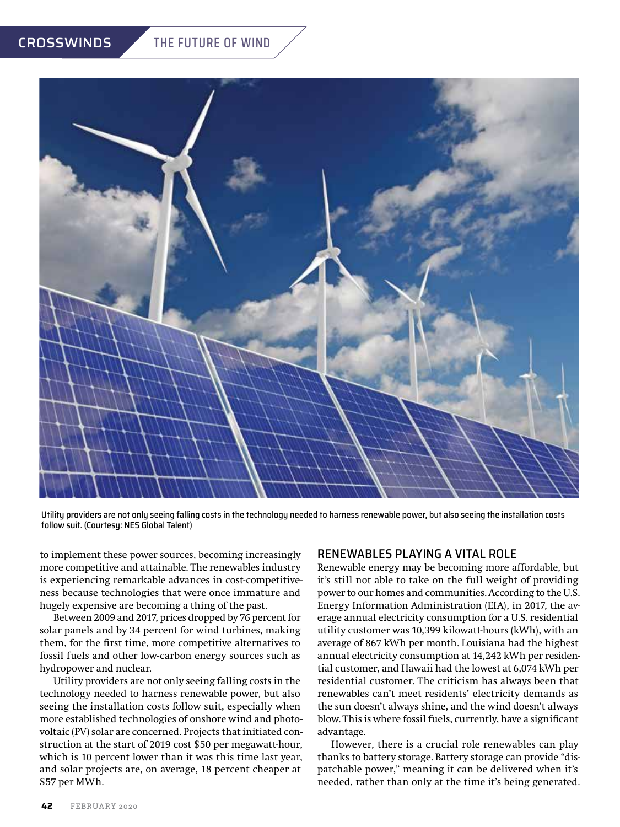# CROSSWINDS THE FUTURE OF WIND



Utility providers are not only seeing falling costs in the technology needed to harness renewable power, but also seeing the installation costs follow suit. (Courtesy: NES Global Talent)

to implement these power sources, becoming increasingly more competitive and attainable. The renewables industry is experiencing remarkable advances in cost-competitiveness because technologies that were once immature and hugely expensive are becoming a thing of the past.

Between 2009 and 2017, prices dropped by 76 percent for solar panels and by 34 percent for wind turbines, making them, for the first time, more competitive alternatives to fossil fuels and other low-carbon energy sources such as hydropower and nuclear.

Utility providers are not only seeing falling costs in the technology needed to harness renewable power, but also seeing the installation costs follow suit, especially when more established technologies of onshore wind and photovoltaic (PV) solar are concerned. Projects that initiated construction at the start of 2019 cost \$50 per megawatt-hour, which is 10 percent lower than it was this time last year, and solar projects are, on average, 18 percent cheaper at \$57 per MWh.

#### RENEWABLES PLAYING A VITAL ROLE

Renewable energy may be becoming more affordable, but it's still not able to take on the full weight of providing power to our homes and communities. According to the U.S. Energy Information Administration (EIA), in 2017, the average annual electricity consumption for a U.S. residential utility customer was 10,399 kilowatt-hours (kWh), with an average of 867 kWh per month. Louisiana had the highest annual electricity consumption at 14,242 kWh per residential customer, and Hawaii had the lowest at 6,074 kWh per residential customer. The criticism has always been that renewables can't meet residents' electricity demands as the sun doesn't always shine, and the wind doesn't always blow. This is where fossil fuels, currently, have a significant advantage.

However, there is a crucial role renewables can play thanks to battery storage. Battery storage can provide "dispatchable power," meaning it can be delivered when it's needed, rather than only at the time it's being generated.